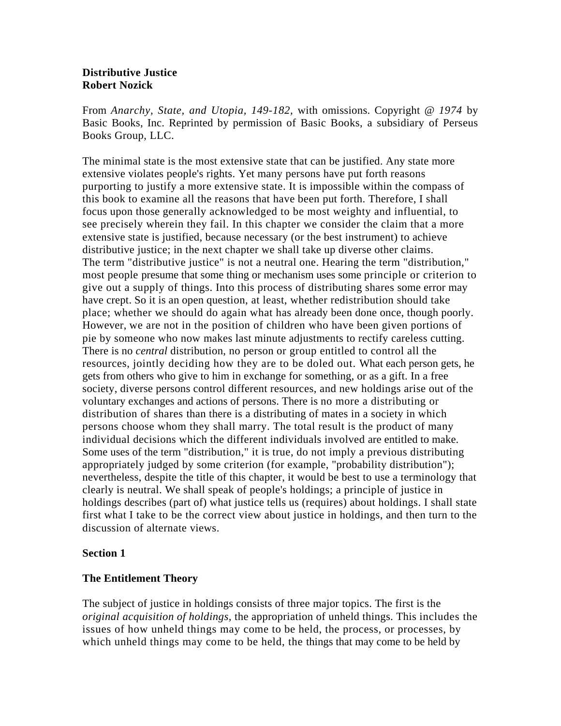## **Distributive Justice Robert Nozick**

From *Anarchy, State, and Utopia, 149-182,* with omissions. Copyright @ *1974* by Basic Books, Inc. Reprinted by permission of Basic Books, a subsidiary of Perseus Books Group, LLC.

The minimal state is the most extensive state that can be justified. Any state more extensive violates people's rights. Yet many persons have put forth reasons purporting to justify a more extensive state. It is impossible within the compass of this book to examine all the reasons that have been put forth. Therefore, I shall focus upon those generally acknowledged to be most weighty and influential, to see precisely wherein they fail. In this chapter we consider the claim that a more extensive state is justified, because necessary (or the best instrument) to achieve distributive justice; in the next chapter we shall take up diverse other claims. The term "distributive justice" is not a neutral one. Hearing the term "distribution," most people presume that some thing or mechanism uses some principle or criterion to give out a supply of things. Into this process of distributing shares some error may have crept. So it is an open question, at least, whether redistribution should take place; whether we should do again what has already been done once, though poorly. However, we are not in the position of children who have been given portions of pie by someone who now makes last minute adjustments to rectify careless cutting. There is no *central* distribution, no person or group entitled to control all the resources, jointly deciding how they are to be doled out. What each person gets, he gets from others who give to him in exchange for something, or as a gift. In a free society, diverse persons control different resources, and new holdings arise out of the voluntary exchanges and actions of persons. There is no more a distributing or distribution of shares than there is a distributing of mates in a society in which persons choose whom they shall marry. The total result is the product of many individual decisions which the different individuals involved are entitled to make. Some uses of the term "distribution," it is true, do not imply a previous distributing appropriately judged by some criterion (for example, "probability distribution"); nevertheless, despite the title of this chapter, it would be best to use a terminology that clearly is neutral. We shall speak of people's holdings; a principle of justice in holdings describes (part of) what justice tells us (requires) about holdings. I shall state first what I take to be the correct view about justice in holdings, and then turn to the discussion of alternate views.

### **Section 1**

# **The Entitlement Theory**

The subject of justice in holdings consists of three major topics. The first is the *original acquisition of holdings,* the appropriation of unheld things. This includes the issues of how unheld things may come to be held, the process, or processes, by which unheld things may come to be held, the things that may come to be held by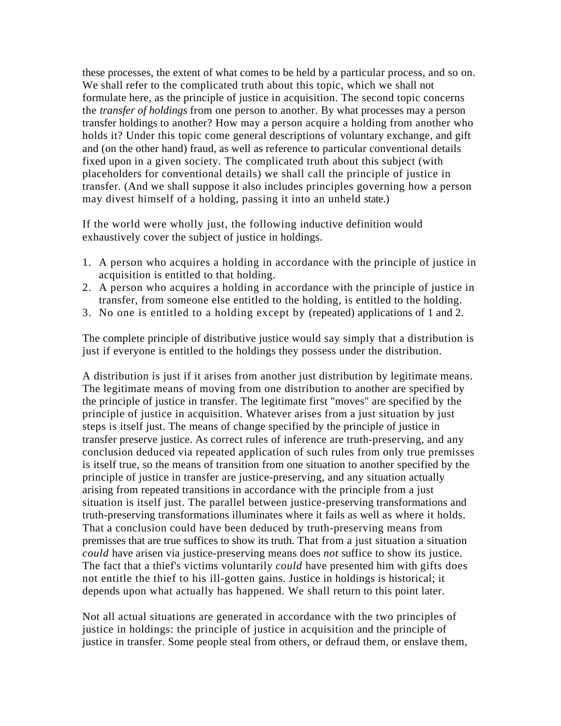these processes, the extent of what comes to be held by a particular process, and so on. We shall refer to the complicated truth about this topic, which we shall not formulate here, as the principle of justice in acquisition. The second topic concerns the *transfer of holdings* from one person to another. By what processes may a person transfer holdings to another? How may a person acquire a holding from another who holds it? Under this topic come general descriptions of voluntary exchange, and gift and (on the other hand) fraud, as well as reference to particular conventional details fixed upon in a given society. The complicated truth about this subject (with placeholders for conventional details) we shall call the principle of justice in transfer. (And we shall suppose it also includes principles governing how a person may divest himself of a holding, passing it into an unheld state.)

If the world were wholly just, the following inductive definition would exhaustively cover the subject of justice in holdings.

- 1. A person who acquires a holding in accordance with the principle of justice in acquisition is entitled to that holding.
- 2. A person who acquires a holding in accordance with the principle of justice in transfer, from someone else entitled to the holding, is entitled to the holding.
- 3. No one is entitled to a holding except by (repeated) applications of 1 and 2.

The complete principle of distributive justice would say simply that a distribution is just if everyone is entitled to the holdings they possess under the distribution.

A distribution is just if it arises from another just distribution by legitimate means. The legitimate means of moving from one distribution to another are specified by the principle of justice in transfer. The legitimate first "moves" are specified by the principle of justice in acquisition. Whatever arises from a just situation by just steps is itself just. The means of change specified by the principle of justice in transfer preserve justice. As correct rules of inference are truth-preserving, and any conclusion deduced via repeated application of such rules from only true premisses is itself true, so the means of transition from one situation to another specified by the principle of justice in transfer are justice-preserving, and any situation actually arising from repeated transitions in accordance with the principle from a just situation is itself just. The parallel between justice-preserving transformations and truth-preserving transformations illuminates where it fails as well as where it holds. That a conclusion could have been deduced by truth-preserving means from premisses that are true suffices to show its truth. That from a just situation a situation *could* have arisen via justice-preserving means does *not* suffice to show its justice. The fact that a thief's victims voluntarily *could* have presented him with gifts does not entitle the thief to his ill-gotten gains. Justice in holdings is historical; it depends upon what actually has happened. We shall return to this point later.

Not all actual situations are generated in accordance with the two principles of justice in holdings: the principle of justice in acquisition and the principle of justice in transfer. Some people steal from others, or defraud them, or enslave them,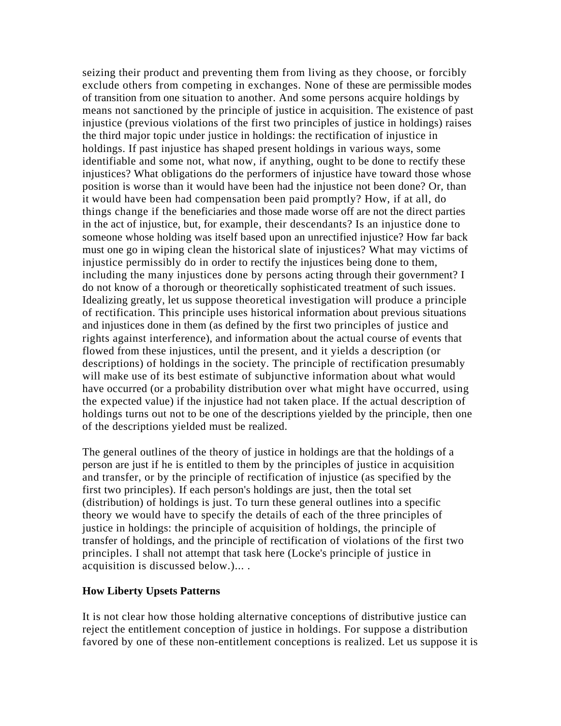seizing their product and preventing them from living as they choose, or forcibly exclude others from competing in exchanges. None of these are permissible modes of transition from one situation to another. And some persons acquire holdings by means not sanctioned by the principle of justice in acquisition. The existence of past injustice (previous violations of the first two principles of justice in holdings) raises the third major topic under justice in holdings: the rectification of injustice in holdings. If past injustice has shaped present holdings in various ways, some identifiable and some not, what now, if anything, ought to be done to rectify these injustices? What obligations do the performers of injustice have toward those whose position is worse than it would have been had the injustice not been done? Or, than it would have been had compensation been paid promptly? How, if at all, do things change if the beneficiaries and those made worse off are not the direct parties in the act of injustice, but, for example, their descendants? Is an injustice done to someone whose holding was itself based upon an unrectified injustice? How far back must one go in wiping clean the historical slate of injustices? What may victims of injustice permissibly do in order to rectify the injustices being done to them, including the many injustices done by persons acting through their government? I do not know of a thorough or theoretically sophisticated treatment of such issues. Idealizing greatly, let us suppose theoretical investigation will produce a principle of rectification. This principle uses historical information about previous situations and injustices done in them (as defined by the first two principles of justice and rights against interference), and information about the actual course of events that flowed from these injustices, until the present, and it yields a description (or descriptions) of holdings in the society. The principle of rectification presumably will make use of its best estimate of subjunctive information about what would have occurred (or a probability distribution over what might have occurred, using the expected value) if the injustice had not taken place. If the actual description of holdings turns out not to be one of the descriptions yielded by the principle, then one of the descriptions yielded must be realized.

The general outlines of the theory of justice in holdings are that the holdings of a person are just if he is entitled to them by the principles of justice in acquisition and transfer, or by the principle of rectification of injustice (as specified by the first two principles). If each person's holdings are just, then the total set (distribution) of holdings is just. To turn these general outlines into a specific theory we would have to specify the details of each of the three principles of justice in holdings: the principle of acquisition of holdings, the principle of transfer of holdings, and the principle of rectification of violations of the first two principles. I shall not attempt that task here (Locke's principle of justice in acquisition is discussed below.)... .

### **How Liberty Upsets Patterns**

It is not clear how those holding alternative conceptions of distributive justice can reject the entitlement conception of justice in holdings. For suppose a distribution favored by one of these non-entitlement conceptions is realized. Let us suppose it is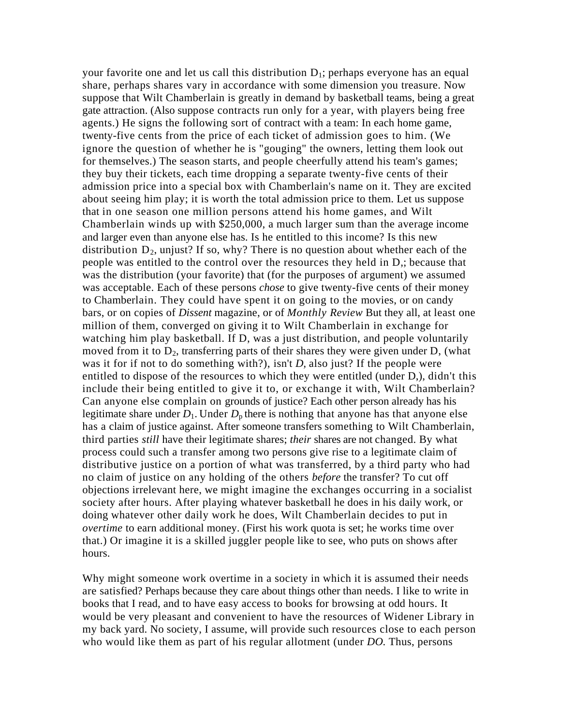your favorite one and let us call this distribution  $D_1$ ; perhaps everyone has an equal share, perhaps shares vary in accordance with some dimension you treasure. Now suppose that Wilt Chamberlain is greatly in demand by basketball teams, being a great gate attraction. (Also suppose contracts run only for a year, with players being free agents.) He signs the following sort of contract with a team: In each home game, twenty-five cents from the price of each ticket of admission goes to him. (We ignore the question of whether he is "gouging" the owners, letting them look out for themselves.) The season starts, and people cheerfully attend his team's games; they buy their tickets, each time dropping a separate twenty-five cents of their admission price into a special box with Chamberlain's name on it. They are excited about seeing him play; it is worth the total admission price to them. Let us suppose that in one season one million persons attend his home games, and Wilt Chamberlain winds up with \$250,000, a much larger sum than the average income and larger even than anyone else has. Is he entitled to this income? Is this new distribution  $D_2$ , unjust? If so, why? There is no question about whether each of the people was entitled to the control over the resources they held in D,; because that was the distribution (your favorite) that (for the purposes of argument) we assumed was acceptable. Each of these persons *chose* to give twenty-five cents of their money to Chamberlain. They could have spent it on going to the movies, or on candy bars, or on copies of *Dissent* magazine, or of *Monthly Review* But they all, at least one million of them, converged on giving it to Wilt Chamberlain in exchange for watching him play basketball. If D, was a just distribution, and people voluntarily moved from it to  $D_2$ , transferring parts of their shares they were given under D, (what was it for if not to do something with?), isn't *D*, also just? If the people were entitled to dispose of the resources to which they were entitled (under D,), didn't this include their being entitled to give it to, or exchange it with, Wilt Chamberlain? Can anyone else complain on grounds of justice? Each other person already has his legitimate share under  $D_1$ . Under  $D_p$  there is nothing that anyone has that anyone else has a claim of justice against. After someone transfers something to Wilt Chamberlain, third parties *still* have their legitimate shares; *their* shares are not changed. By what process could such a transfer among two persons give rise to a legitimate claim of distributive justice on a portion of what was transferred, by a third party who had no claim of justice on any holding of the others *before* the transfer? To cut off objections irrelevant here, we might imagine the exchanges occurring in a socialist society after hours. After playing whatever basketball he does in his daily work, or doing whatever other daily work he does, Wilt Chamberlain decides to put in *overtime* to earn additional money. (First his work quota is set; he works time over that.) Or imagine it is a skilled juggler people like to see, who puts on shows after hours.

Why might someone work overtime in a society in which it is assumed their needs are satisfied? Perhaps because they care about things other than needs. I like to write in books that I read, and to have easy access to books for browsing at odd hours. It would be very pleasant and convenient to have the resources of Widener Library in my back yard. No society, I assume, will provide such resources close to each person who would like them as part of his regular allotment (under *DO.* Thus, persons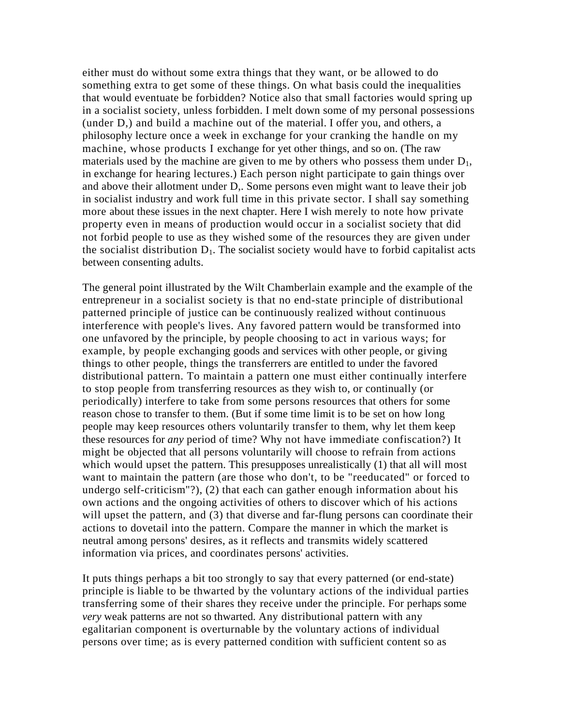either must do without some extra things that they want, or be allowed to do something extra to get some of these things. On what basis could the inequalities that would eventuate be forbidden? Notice also that small factories would spring up in a socialist society, unless forbidden. I melt down some of my personal possessions (under D,) and build a machine out of the material. I offer you, and others, a philosophy lecture once a week in exchange for your cranking the handle on my machine, whose products I exchange for yet other things, and so on. (The raw materials used by the machine are given to me by others who possess them under  $D_1$ , in exchange for hearing lectures.) Each person night participate to gain things over and above their allotment under D,. Some persons even might want to leave their job in socialist industry and work full time in this private sector. I shall say something more about these issues in the next chapter. Here I wish merely to note how private property even in means of production would occur in a socialist society that did not forbid people to use as they wished some of the resources they are given under the socialist distribution  $D_1$ . The socialist society would have to forbid capitalist acts between consenting adults.

The general point illustrated by the Wilt Chamberlain example and the example of the entrepreneur in a socialist society is that no end-state principle of distributional patterned principle of justice can be continuously realized without continuous interference with people's lives. Any favored pattern would be transformed into one unfavored by the principle, by people choosing to act in various ways; for example, by people exchanging goods and services with other people, or giving things to other people, things the transferrers are entitled to under the favored distributional pattern. To maintain a pattern one must either continually interfere to stop people from transferring resources as they wish to, or continually (or periodically) interfere to take from some persons resources that others for some reason chose to transfer to them. (But if some time limit is to be set on how long people may keep resources others voluntarily transfer to them, why let them keep these resources for *any* period of time? Why not have immediate confiscation?) It might be objected that all persons voluntarily will choose to refrain from actions which would upset the pattern. This presupposes unrealistically (1) that all will most want to maintain the pattern (are those who don't, to be "reeducated" or forced to undergo self-criticism"?), (2) that each can gather enough information about his own actions and the ongoing activities of others to discover which of his actions will upset the pattern, and (3) that diverse and far-flung persons can coordinate their actions to dovetail into the pattern. Compare the manner in which the market is neutral among persons' desires, as it reflects and transmits widely scattered information via prices, and coordinates persons' activities.

It puts things perhaps a bit too strongly to say that every patterned (or end-state) principle is liable to be thwarted by the voluntary actions of the individual parties transferring some of their shares they receive under the principle. For perhaps some *very* weak patterns are not so thwarted. Any distributional pattern with any egalitarian component is overturnable by the voluntary actions of individual persons over time; as is every patterned condition with sufficient content so as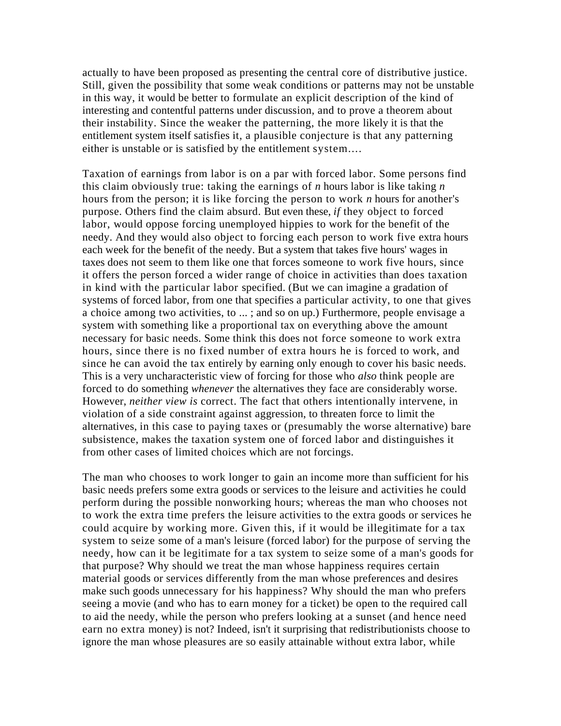actually to have been proposed as presenting the central core of distributive justice. Still, given the possibility that some weak conditions or patterns may not be unstable in this way, it would be better to formulate an explicit description of the kind of interesting and contentful patterns under discussion, and to prove a theorem about their instability. Since the weaker the patterning, the more likely it is that the entitlement system itself satisfies it, a plausible conjecture is that any patterning either is unstable or is satisfied by the entitlement system....

Taxation of earnings from labor is on a par with forced labor. Some persons find this claim obviously true: taking the earnings of *n* hours labor is like taking *n*  hours from the person; it is like forcing the person to work *n* hours for another's purpose. Others find the claim absurd. But even these, *if* they object to forced labor, would oppose forcing unemployed hippies to work for the benefit of the needy. And they would also object to forcing each person to work five extra hours each week for the benefit of the needy. But a system that takes five hours' wages in taxes does not seem to them like one that forces someone to work five hours, since it offers the person forced a wider range of choice in activities than does taxation in kind with the particular labor specified. (But we can imagine a gradation of systems of forced labor, from one that specifies a particular activity, to one that gives a choice among two activities, to ... ; and so on up.) Furthermore, people envisage a system with something like a proportional tax on everything above the amount necessary for basic needs. Some think this does not force someone to work extra hours, since there is no fixed number of extra hours he is forced to work, and since he can avoid the tax entirely by earning only enough to cover his basic needs. This is a very uncharacteristic view of forcing for those who *also* think people are forced to do something *whenever* the alternatives they face are considerably worse. However, *neither view is* correct. The fact that others intentionally intervene, in violation of a side constraint against aggression, to threaten force to limit the alternatives, in this case to paying taxes or (presumably the worse alternative) bare subsistence, makes the taxation system one of forced labor and distinguishes it from other cases of limited choices which are not forcings.

The man who chooses to work longer to gain an income more than sufficient for his basic needs prefers some extra goods or services to the leisure and activities he could perform during the possible nonworking hours; whereas the man who chooses not to work the extra time prefers the leisure activities to the extra goods or services he could acquire by working more. Given this, if it would be illegitimate for a tax system to seize some of a man's leisure (forced labor) for the purpose of serving the needy, how can it be legitimate for a tax system to seize some of a man's goods for that purpose? Why should we treat the man whose happiness requires certain material goods or services differently from the man whose preferences and desires make such goods unnecessary for his happiness? Why should the man who prefers seeing a movie (and who has to earn money for a ticket) be open to the required call to aid the needy, while the person who prefers looking at a sunset (and hence need earn no extra money) is not? Indeed, isn't it surprising that redistributionists choose to ignore the man whose pleasures are so easily attainable without extra labor, while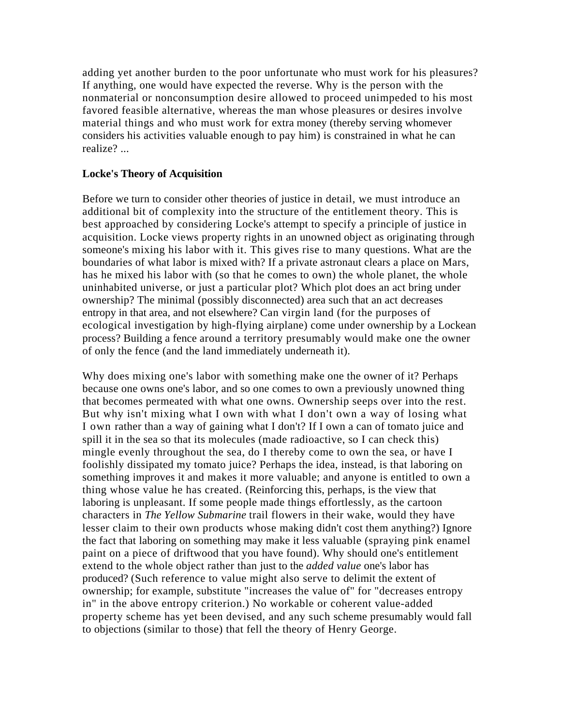adding yet another burden to the poor unfortunate who must work for his pleasures? If anything, one would have expected the reverse. Why is the person with the nonmaterial or nonconsumption desire allowed to proceed unimpeded to his most favored feasible alternative, whereas the man whose pleasures or desires involve material things and who must work for extra money (thereby serving whomever considers his activities valuable enough to pay him) is constrained in what he can realize? ...

## **Locke's Theory of Acquisition**

Before we turn to consider other theories of justice in detail, we must introduce an additional bit of complexity into the structure of the entitlement theory. This is best approached by considering Locke's attempt to specify a principle of justice in acquisition. Locke views property rights in an unowned object as originating through someone's mixing his labor with it. This gives rise to many questions. What are the boundaries of what labor is mixed with? If a private astronaut clears a place on Mars, has he mixed his labor with (so that he comes to own) the whole planet, the whole uninhabited universe, or just a particular plot? Which plot does an act bring under ownership? The minimal (possibly disconnected) area such that an act decreases entropy in that area, and not elsewhere? Can virgin land (for the purposes of ecological investigation by high-flying airplane) come under ownership by a Lockean process? Building a fence around a territory presumably would make one the owner of only the fence (and the land immediately underneath it).

Why does mixing one's labor with something make one the owner of it? Perhaps because one owns one's labor, and so one comes to own a previously unowned thing that becomes permeated with what one owns. Ownership seeps over into the rest. But why isn't mixing what I own with what I don't own a way of losing what I own rather than a way of gaining what I don't? If I own a can of tomato juice and spill it in the sea so that its molecules (made radioactive, so I can check this) mingle evenly throughout the sea, do I thereby come to own the sea, or have I foolishly dissipated my tomato juice? Perhaps the idea, instead, is that laboring on something improves it and makes it more valuable; and anyone is entitled to own a thing whose value he has created. (Reinforcing this, perhaps, is the view that laboring is unpleasant. If some people made things effortlessly, as the cartoon characters in *The Yellow Submarine* trail flowers in their wake, would they have lesser claim to their own products whose making didn't cost them anything?) Ignore the fact that laboring on something may make it less valuable (spraying pink enamel paint on a piece of driftwood that you have found). Why should one's entitlement extend to the whole object rather than just to the *added value* one's labor has produced? (Such reference to value might also serve to delimit the extent of ownership; for example, substitute "increases the value of" for "decreases entropy in" in the above entropy criterion.) No workable or coherent value-added property scheme has yet been devised, and any such scheme presumably would fall to objections (similar to those) that fell the theory of Henry George.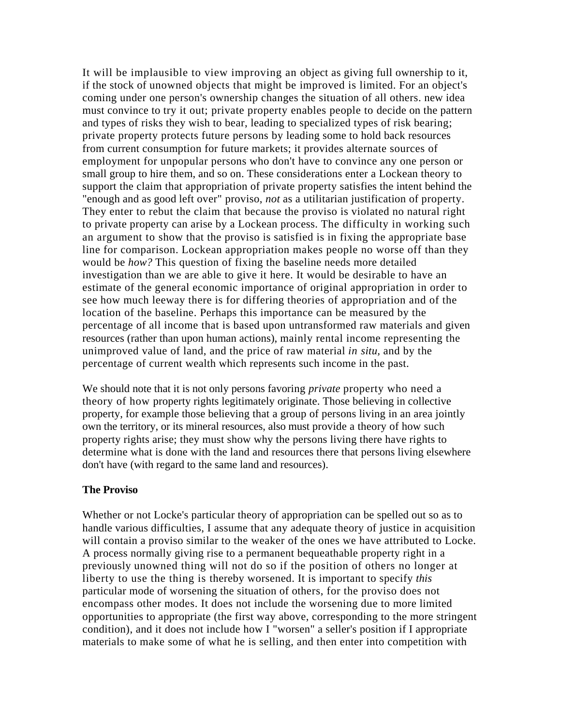It will be implausible to view improving an object as giving full ownership to it, if the stock of unowned objects that might be improved is limited. For an object's coming under one person's ownership changes the situation of all others. new idea must convince to try it out; private property enables people to decide on the pattern and types of risks they wish to bear, leading to specialized types of risk bearing; private property protects future persons by leading some to hold back resources from current consumption for future markets; it provides alternate sources of employment for unpopular persons who don't have to convince any one person or small group to hire them, and so on. These considerations enter a Lockean theory to support the claim that appropriation of private property satisfies the intent behind the "enough and as good left over" proviso, *not* as a utilitarian justification of property. They enter to rebut the claim that because the proviso is violated no natural right to private property can arise by a Lockean process. The difficulty in working such an argument to show that the proviso is satisfied is in fixing the appropriate base line for comparison. Lockean appropriation makes people no worse off than they would be *how?* This question of fixing the baseline needs more detailed investigation than we are able to give it here. It would be desirable to have an estimate of the general economic importance of original appropriation in order to see how much leeway there is for differing theories of appropriation and of the location of the baseline. Perhaps this importance can be measured by the percentage of all income that is based upon untransformed raw materials and given resources (rather than upon human actions), mainly rental income representing the unimproved value of land, and the price of raw material *in situ,* and by the percentage of current wealth which represents such income in the past.

We should note that it is not only persons favoring *private* property who need a theory of how property rights legitimately originate. Those believing in collective property, for example those believing that a group of persons living in an area jointly own the territory, or its mineral resources, also must provide a theory of how such property rights arise; they must show why the persons living there have rights to determine what is done with the land and resources there that persons living elsewhere don't have (with regard to the same land and resources).

#### **The Proviso**

Whether or not Locke's particular theory of appropriation can be spelled out so as to handle various difficulties, I assume that any adequate theory of justice in acquisition will contain a proviso similar to the weaker of the ones we have attributed to Locke. A process normally giving rise to a permanent bequeathable property right in a previously unowned thing will not do so if the position of others no longer at liberty to use the thing is thereby worsened. It is important to specify *this*  particular mode of worsening the situation of others, for the proviso does not encompass other modes. It does not include the worsening due to more limited opportunities to appropriate (the first way above, corresponding to the more stringent condition), and it does not include how I "worsen" a seller's position if I appropriate materials to make some of what he is selling, and then enter into competition with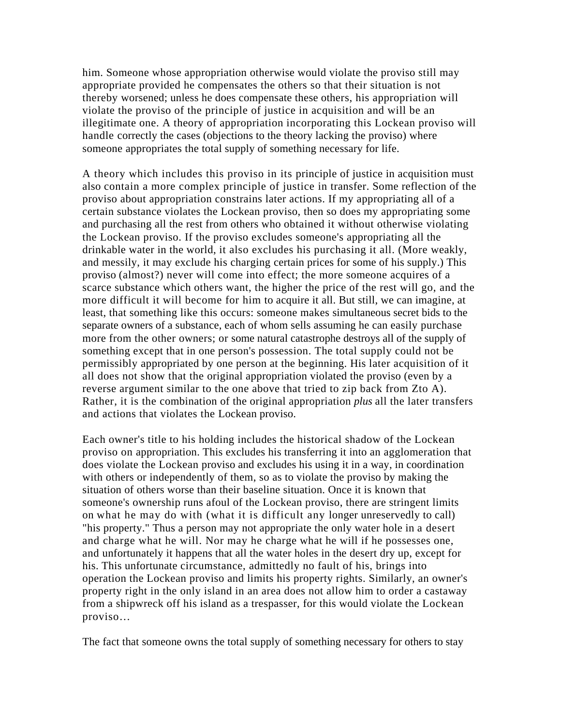him. Someone whose appropriation otherwise would violate the proviso still may appropriate provided he compensates the others so that their situation is not thereby worsened; unless he does compensate these others, his appropriation will violate the proviso of the principle of justice in acquisition and will be an illegitimate one. A theory of appropriation incorporating this Lockean proviso will handle correctly the cases (objections to the theory lacking the proviso) where someone appropriates the total supply of something necessary for life.

A theory which includes this proviso in its principle of justice in acquisition must also contain a more complex principle of justice in transfer. Some reflection of the proviso about appropriation constrains later actions. If my appropriating all of a certain substance violates the Lockean proviso, then so does my appropriating some and purchasing all the rest from others who obtained it without otherwise violating the Lockean proviso. If the proviso excludes someone's appropriating all the drinkable water in the world, it also excludes his purchasing it all. (More weakly, and messily, it may exclude his charging certain prices for some of his supply.) This proviso (almost?) never will come into effect; the more someone acquires of a scarce substance which others want, the higher the price of the rest will go, and the more difficult it will become for him to acquire it all. But still, we can imagine, at least, that something like this occurs: someone makes simultaneous secret bids to the separate owners of a substance, each of whom sells assuming he can easily purchase more from the other owners; or some natural catastrophe destroys all of the supply of something except that in one person's possession. The total supply could not be permissibly appropriated by one person at the beginning. His later acquisition of it all does not show that the original appropriation violated the proviso (even by a reverse argument similar to the one above that tried to zip back from Zto A). Rather, it is the combination of the original appropriation *plus* all the later transfers and actions that violates the Lockean proviso.

Each owner's title to his holding includes the historical shadow of the Lockean proviso on appropriation. This excludes his transferring it into an agglomeration that does violate the Lockean proviso and excludes his using it in a way, in coordination with others or independently of them, so as to violate the proviso by making the situation of others worse than their baseline situation. Once it is known that someone's ownership runs afoul of the Lockean proviso, there are stringent limits on what he may do with (what it is difficult any longer unreservedly to call) "his property." Thus a person may not appropriate the only water hole in a desert and charge what he will. Nor may he charge what he will if he possesses one, and unfortunately it happens that all the water holes in the desert dry up, except for his. This unfortunate circumstance, admittedly no fault of his, brings into operation the Lockean proviso and limits his property rights. Similarly, an owner's property right in the only island in an area does not allow him to order a castaway from a shipwreck off his island as a trespasser, for this would violate the Lockean proviso…

The fact that someone owns the total supply of something necessary for others to stay